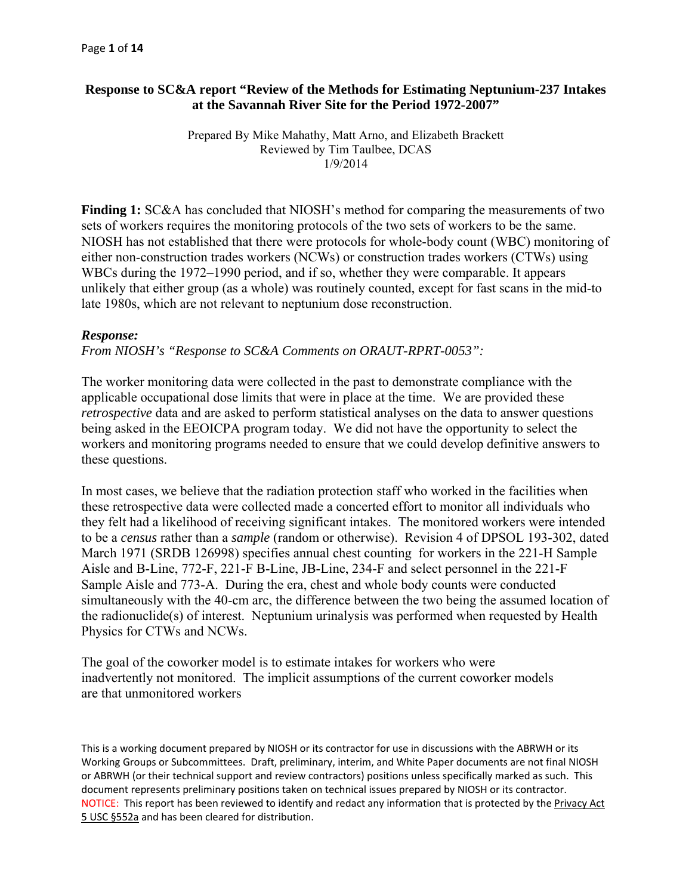# **Response to SC&A report "Review of the Methods for Estimating Neptunium-237 Intakes at the Savannah River Site for the Period 1972-2007"**

Prepared By Mike Mahathy, Matt Arno, and Elizabeth Brackett Reviewed by Tim Taulbee, DCAS 1/9/2014

**Finding 1:** SC&A has concluded that NIOSH's method for comparing the measurements of two sets of workers requires the monitoring protocols of the two sets of workers to be the same. NIOSH has not established that there were protocols for whole-body count (WBC) monitoring of either non-construction trades workers (NCWs) or construction trades workers (CTWs) using WBCs during the 1972–1990 period, and if so, whether they were comparable. It appears unlikely that either group (as a whole) was routinely counted, except for fast scans in the mid-to late 1980s, which are not relevant to neptunium dose reconstruction.

### *Response:*

*From NIOSH's "Response to SC&A Comments on ORAUT-RPRT-0053":* 

The worker monitoring data were collected in the past to demonstrate compliance with the applicable occupational dose limits that were in place at the time. We are provided these *retrospective* data and are asked to perform statistical analyses on the data to answer questions being asked in the EEOICPA program today. We did not have the opportunity to select the workers and monitoring programs needed to ensure that we could develop definitive answers to these questions.

In most cases, we believe that the radiation protection staff who worked in the facilities when these retrospective data were collected made a concerted effort to monitor all individuals who they felt had a likelihood of receiving significant intakes. The monitored workers were intended to be a *census* rather than a *sample* (random or otherwise). Revision 4 of DPSOL 193-302, dated March 1971 (SRDB 126998) specifies annual chest counting for workers in the 221-H Sample Aisle and B-Line, 772-F, 221-F B-Line, JB-Line, 234-F and select personnel in the 221-F Sample Aisle and 773-A. During the era, chest and whole body counts were conducted simultaneously with the 40-cm arc, the difference between the two being the assumed location of the radionuclide(s) of interest. Neptunium urinalysis was performed when requested by Health Physics for CTWs and NCWs.

The goal of the coworker model is to estimate intakes for workers who were inadvertently not monitored. The implicit assumptions of the current coworker models are that unmonitored workers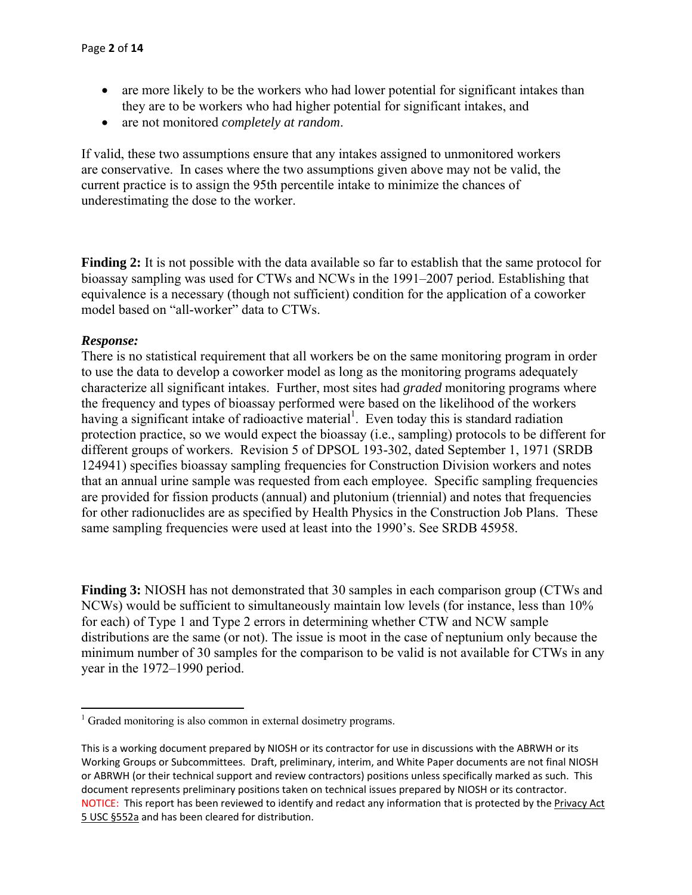- are more likely to be the workers who had lower potential for significant intakes than they are to be workers who had higher potential for significant intakes, and
- are not monitored *completely at random*.

If valid, these two assumptions ensure that any intakes assigned to unmonitored workers are conservative. In cases where the two assumptions given above may not be valid, the current practice is to assign the 95th percentile intake to minimize the chances of underestimating the dose to the worker.

**Finding 2:** It is not possible with the data available so far to establish that the same protocol for bioassay sampling was used for CTWs and NCWs in the 1991–2007 period. Establishing that equivalence is a necessary (though not sufficient) condition for the application of a coworker model based on "all-worker" data to CTWs.

### *Response:*

There is no statistical requirement that all workers be on the same monitoring program in order to use the data to develop a coworker model as long as the monitoring programs adequately characterize all significant intakes. Further, most sites had *graded* monitoring programs where the frequency and types of bioassay performed were based on the likelihood of the workers having a significant intake of radioactive material<sup>1</sup>. Even today this is standard radiation protection practice, so we would expect the bioassay (i.e., sampling) protocols to be different for different groups of workers. Revision 5 of DPSOL 193-302, dated September 1, 1971 (SRDB 124941) specifies bioassay sampling frequencies for Construction Division workers and notes that an annual urine sample was requested from each employee. Specific sampling frequencies are provided for fission products (annual) and plutonium (triennial) and notes that frequencies for other radionuclides are as specified by Health Physics in the Construction Job Plans. These same sampling frequencies were used at least into the 1990's. See SRDB 45958.

**Finding 3:** NIOSH has not demonstrated that 30 samples in each comparison group (CTWs and NCWs) would be sufficient to simultaneously maintain low levels (for instance, less than 10% for each) of Type 1 and Type 2 errors in determining whether CTW and NCW sample distributions are the same (or not). The issue is moot in the case of neptunium only because the minimum number of 30 samples for the comparison to be valid is not available for CTWs in any year in the 1972–1990 period.

 1 Graded monitoring is also common in external dosimetry programs.

 This is a working document prepared by NIOSH or its contractor for use in discussions with the ABRWH or its Working Groups or Subcommittees. Draft, preliminary, interim, and White Paper documents are not final NIOSH or ABRWH (or their technical support and review contractors) positions unless specifically marked as such. This document represents preliminary positions taken on technical issues prepared by NIOSH or its contractor. NOTICE: This report has been reviewed to identify and redact any information that is protected by the Privacy Act 5 USC §552a and has been cleared for distribution.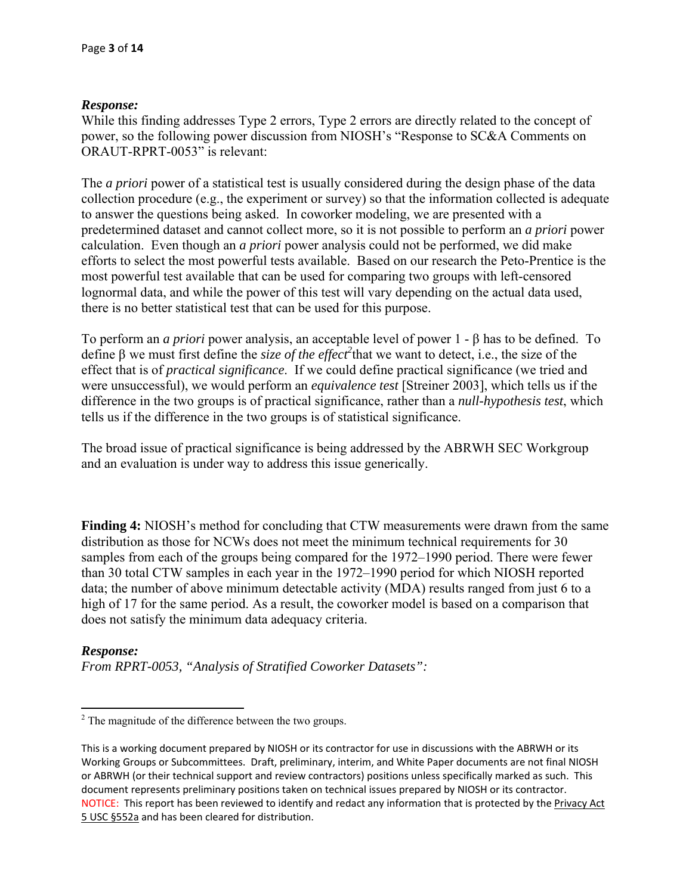While this finding addresses Type 2 errors, Type 2 errors are directly related to the concept of power, so the following power discussion from NIOSH's "Response to SC&A Comments on ORAUT-RPRT-0053" is relevant:

The *a priori* power of a statistical test is usually considered during the design phase of the data collection procedure (e.g., the experiment or survey) so that the information collected is adequate to answer the questions being asked. In coworker modeling, we are presented with a predetermined dataset and cannot collect more, so it is not possible to perform an *a priori* power calculation. Even though an *a priori* power analysis could not be performed, we did make efforts to select the most powerful tests available. Based on our research the Peto-Prentice is the most powerful test available that can be used for comparing two groups with left-censored lognormal data, and while the power of this test will vary depending on the actual data used, there is no better statistical test that can be used for this purpose.

To perform an *a priori* power analysis, an acceptable level of power 1 - β has to be defined. To define  $\beta$  we must first define the *size of the effect*<sup>2</sup> that we want to detect, i.e., the size of the effect that is of *practical significance*. If we could define practical significance (we tried and were unsuccessful), we would perform an *equivalence test* [Streiner 2003], which tells us if the difference in the two groups is of practical significance, rather than a *null-hypothesis test*, which tells us if the difference in the two groups is of statistical significance.

The broad issue of practical significance is being addressed by the ABRWH SEC Workgroup and an evaluation is under way to address this issue generically.

**Finding 4:** NIOSH's method for concluding that CTW measurements were drawn from the same distribution as those for NCWs does not meet the minimum technical requirements for 30 samples from each of the groups being compared for the 1972–1990 period. There were fewer than 30 total CTW samples in each year in the 1972–1990 period for which NIOSH reported data; the number of above minimum detectable activity (MDA) results ranged from just 6 to a high of 17 for the same period. As a result, the coworker model is based on a comparison that does not satisfy the minimum data adequacy criteria.

### *Response:*

*From RPRT-0053, "Analysis of Stratified Coworker Datasets":* 

<sup>&</sup>lt;sup>2</sup> The magnitude of the difference between the two groups.

 This is a working document prepared by NIOSH or its contractor for use in discussions with the ABRWH or its Working Groups or Subcommittees. Draft, preliminary, interim, and White Paper documents are not final NIOSH or ABRWH (or their technical support and review contractors) positions unless specifically marked as such. This document represents preliminary positions taken on technical issues prepared by NIOSH or its contractor. NOTICE: This report has been reviewed to identify and redact any information that is protected by the Privacy Act 5 USC §552a and has been cleared for distribution.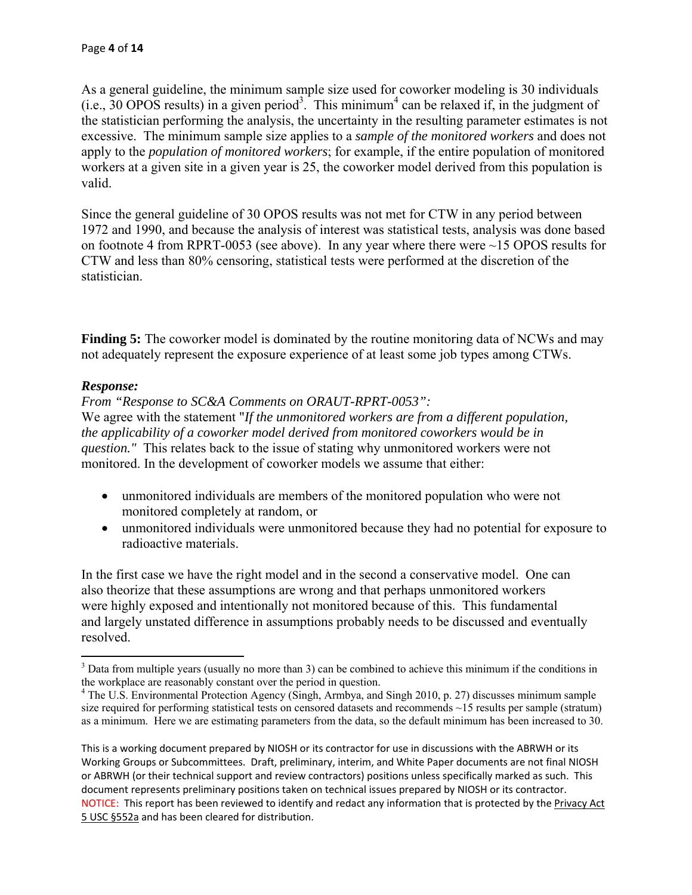As a general guideline, the minimum sample size used for coworker modeling is 30 individuals  $(i.e., 30 OPOS$  results) in a given period<sup>3</sup>. This minimum<sup>4</sup> can be relaxed if, in the judgment of the statistician performing the analysis, the uncertainty in the resulting parameter estimates is not excessive. The minimum sample size applies to a *sample of the monitored workers* and does not apply to the *population of monitored workers*; for example, if the entire population of monitored workers at a given site in a given year is 25, the coworker model derived from this population is valid.

Since the general guideline of 30 OPOS results was not met for CTW in any period between 1972 and 1990, and because the analysis of interest was statistical tests, analysis was done based on footnote 4 from RPRT-0053 (see above). In any year where there were ~15 OPOS results for CTW and less than 80% censoring, statistical tests were performed at the discretion of the statistician.

**Finding 5:** The coworker model is dominated by the routine monitoring data of NCWs and may not adequately represent the exposure experience of at least some job types among CTWs.

# *Response:*

*From "Response to SC&A Comments on ORAUT-RPRT-0053":* 

We agree with the statement "*If the unmonitored workers are from a different population, the applicability of a coworker model derived from monitored coworkers would be in question."* This relates back to the issue of stating why unmonitored workers were not monitored. In the development of coworker models we assume that either:

- unmonitored individuals are members of the monitored population who were not monitored completely at random, or
- unmonitored individuals were unmonitored because they had no potential for exposure to radioactive materials.

In the first case we have the right model and in the second a conservative model. One can also theorize that these assumptions are wrong and that perhaps unmonitored workers were highly exposed and intentionally not monitored because of this. This fundamental and largely unstated difference in assumptions probably needs to be discussed and eventually resolved.

  $3$  Data from multiple years (usually no more than 3) can be combined to achieve this minimum if the conditions in the workplace are reasonably constant over the period in question. 4

 as a minimum. Here we are estimating parameters from the data, so the default minimum has been increased to 30. <sup>4</sup> The U.S. Environmental Protection Agency (Singh, Armbya, and Singh 2010, p. 27) discusses minimum sample size required for performing statistical tests on censored datasets and recommends ~15 results per sample (stratum)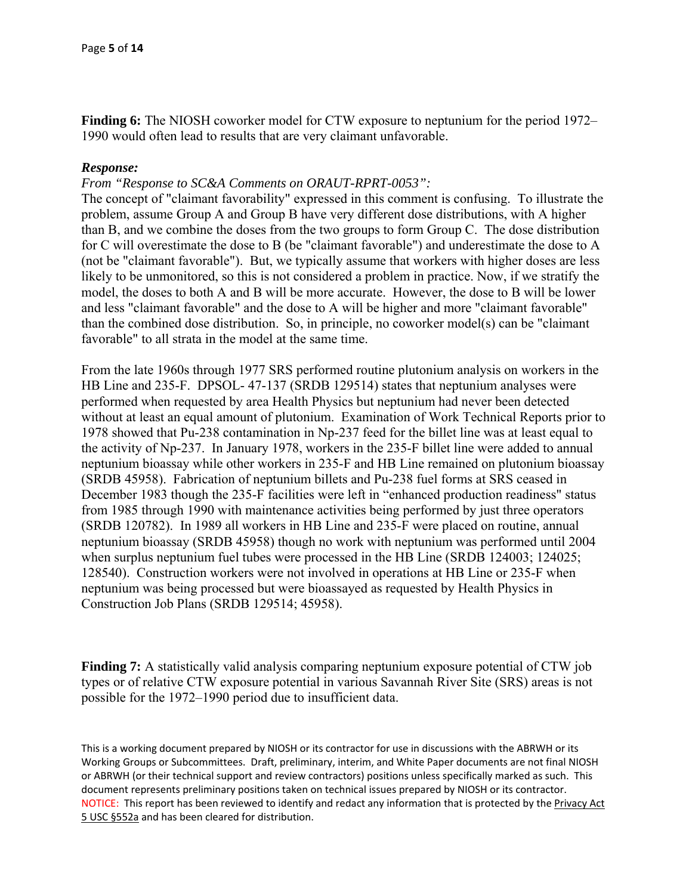**Finding 6:** The NIOSH coworker model for CTW exposure to neptunium for the period 1972– 1990 would often lead to results that are very claimant unfavorable.

### *Response:*

*From "Response to SC&A Comments on ORAUT-RPRT-0053":* 

The concept of "claimant favorability" expressed in this comment is confusing. To illustrate the problem, assume Group A and Group B have very different dose distributions, with A higher than B, and we combine the doses from the two groups to form Group C. The dose distribution for C will overestimate the dose to B (be "claimant favorable") and underestimate the dose to A (not be "claimant favorable"). But, we typically assume that workers with higher doses are less likely to be unmonitored, so this is not considered a problem in practice. Now, if we stratify the model, the doses to both A and B will be more accurate. However, the dose to B will be lower and less "claimant favorable" and the dose to A will be higher and more "claimant favorable" than the combined dose distribution. So, in principle, no coworker model(s) can be "claimant favorable" to all strata in the model at the same time.

From the late 1960s through 1977 SRS performed routine plutonium analysis on workers in the HB Line and 235-F. DPSOL- 47-137 (SRDB 129514) states that neptunium analyses were performed when requested by area Health Physics but neptunium had never been detected without at least an equal amount of plutonium. Examination of Work Technical Reports prior to 1978 showed that Pu-238 contamination in Np-237 feed for the billet line was at least equal to the activity of Np-237. In January 1978, workers in the 235-F billet line were added to annual neptunium bioassay while other workers in 235-F and HB Line remained on plutonium bioassay (SRDB 45958). Fabrication of neptunium billets and Pu-238 fuel forms at SRS ceased in December 1983 though the 235-F facilities were left in "enhanced production readiness" status from 1985 through 1990 with maintenance activities being performed by just three operators (SRDB 120782). In 1989 all workers in HB Line and 235-F were placed on routine, annual neptunium bioassay (SRDB 45958) though no work with neptunium was performed until 2004 when surplus neptunium fuel tubes were processed in the HB Line (SRDB 124003; 124025; 128540). Construction workers were not involved in operations at HB Line or 235-F when neptunium was being processed but were bioassayed as requested by Health Physics in Construction Job Plans (SRDB 129514; 45958).

**Finding 7:** A statistically valid analysis comparing neptunium exposure potential of CTW job types or of relative CTW exposure potential in various Savannah River Site (SRS) areas is not possible for the 1972–1990 period due to insufficient data.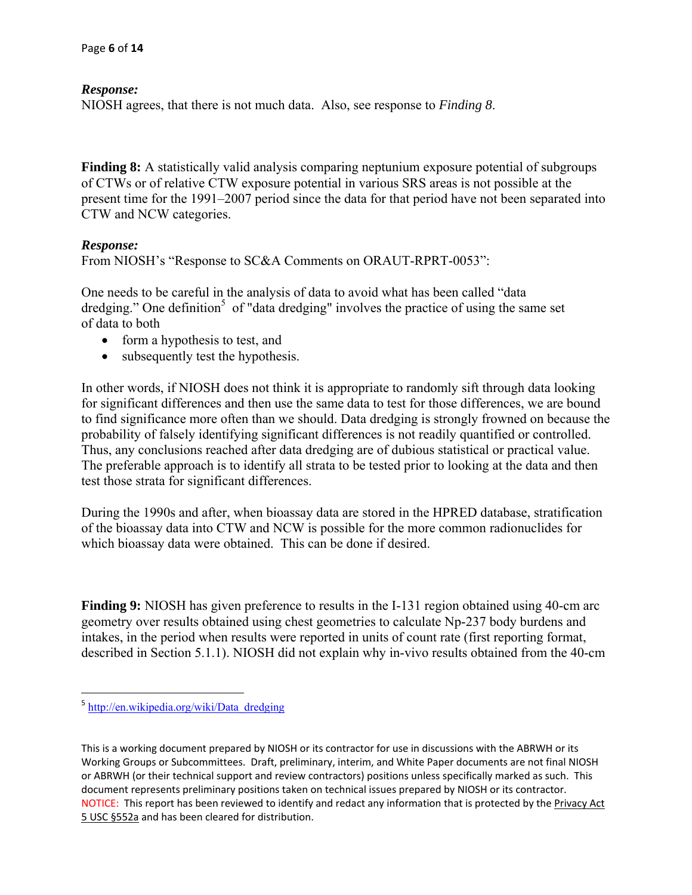NIOSH agrees, that there is not much data. Also, see response to *Finding 8*.

**Finding 8:** A statistically valid analysis comparing neptunium exposure potential of subgroups of CTWs or of relative CTW exposure potential in various SRS areas is not possible at the present time for the 1991–2007 period since the data for that period have not been separated into CTW and NCW categories.

#### *Response:*

From NIOSH's "Response to SC&A Comments on ORAUT-RPRT-0053":

One needs to be careful in the analysis of data to avoid what has been called "data dredging." One definition<sup>5</sup> of "data dredging" involves the practice of using the same set of data to both

- form a hypothesis to test, and
- subsequently test the hypothesis.

In other words, if NIOSH does not think it is appropriate to randomly sift through data looking for significant differences and then use the same data to test for those differences, we are bound to find significance more often than we should. Data dredging is strongly frowned on because the probability of falsely identifying significant differences is not readily quantified or controlled. Thus, any conclusions reached after data dredging are of dubious statistical or practical value. The preferable approach is to identify all strata to be tested prior to looking at the data and then test those strata for significant differences.

During the 1990s and after, when bioassay data are stored in the HPRED database, stratification of the bioassay data into CTW and NCW is possible for the more common radionuclides for which bioassay data were obtained. This can be done if desired.

**Finding 9:** NIOSH has given preference to results in the I-131 region obtained using 40-cm arc geometry over results obtained using chest geometries to calculate Np-237 body burdens and intakes, in the period when results were reported in units of count rate (first reporting format, described in Section 5.1.1). NIOSH did not explain why in-vivo results obtained from the 40-cm

<sup>&</sup>lt;sup>5</sup> http://en.wikipedia.org/wiki/Data\_dredging

 This is a working document prepared by NIOSH or its contractor for use in discussions with the ABRWH or its Working Groups or Subcommittees. Draft, preliminary, interim, and White Paper documents are not final NIOSH or ABRWH (or their technical support and review contractors) positions unless specifically marked as such. This document represents preliminary positions taken on technical issues prepared by NIOSH or its contractor. NOTICE: This report has been reviewed to identify and redact any information that is protected by the Privacy Act 5 USC §552a and has been cleared for distribution.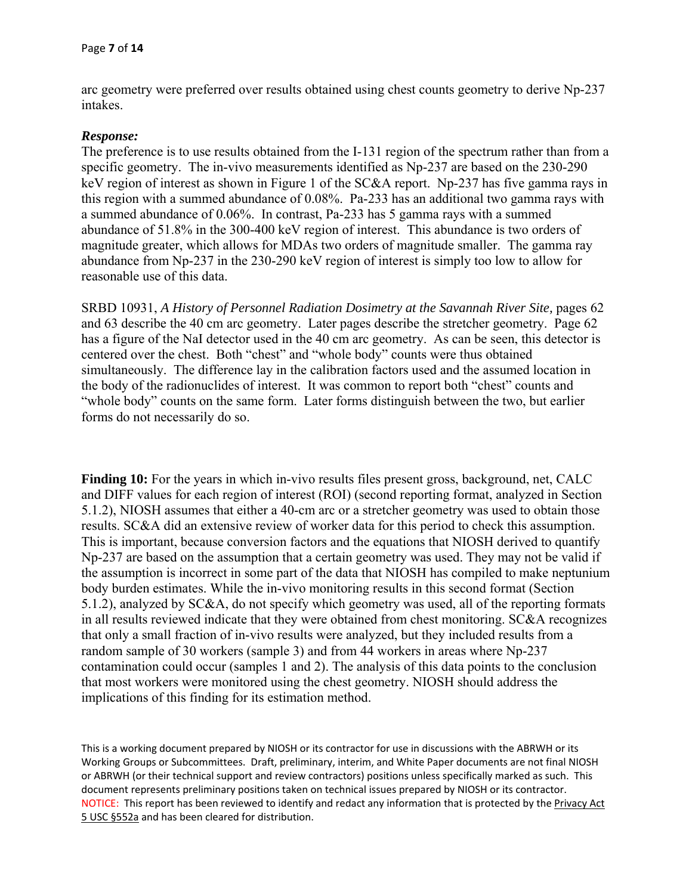arc geometry were preferred over results obtained using chest counts geometry to derive Np-237 intakes.

### *Response:*

The preference is to use results obtained from the I-131 region of the spectrum rather than from a specific geometry. The in-vivo measurements identified as Np-237 are based on the 230-290 keV region of interest as shown in Figure 1 of the SC&A report. Np-237 has five gamma rays in this region with a summed abundance of 0.08%. Pa-233 has an additional two gamma rays with a summed abundance of 0.06%. In contrast, Pa-233 has 5 gamma rays with a summed abundance of 51.8% in the 300-400 keV region of interest. This abundance is two orders of magnitude greater, which allows for MDAs two orders of magnitude smaller. The gamma ray abundance from Np-237 in the 230-290 keV region of interest is simply too low to allow for reasonable use of this data.

SRBD 10931, *A History of Personnel Radiation Dosimetry at the Savannah River Site,* pages 62 and 63 describe the 40 cm arc geometry. Later pages describe the stretcher geometry. Page 62 has a figure of the NaI detector used in the 40 cm arc geometry. As can be seen, this detector is centered over the chest. Both "chest" and "whole body" counts were thus obtained simultaneously. The difference lay in the calibration factors used and the assumed location in the body of the radionuclides of interest. It was common to report both "chest" counts and "whole body" counts on the same form. Later forms distinguish between the two, but earlier forms do not necessarily do so.

**Finding 10:** For the years in which in-vivo results files present gross, background, net, CALC and DIFF values for each region of interest (ROI) (second reporting format, analyzed in Section 5.1.2), NIOSH assumes that either a 40-cm arc or a stretcher geometry was used to obtain those results. SC&A did an extensive review of worker data for this period to check this assumption. This is important, because conversion factors and the equations that NIOSH derived to quantify Np-237 are based on the assumption that a certain geometry was used. They may not be valid if the assumption is incorrect in some part of the data that NIOSH has compiled to make neptunium body burden estimates. While the in-vivo monitoring results in this second format (Section 5.1.2), analyzed by SC&A, do not specify which geometry was used, all of the reporting formats in all results reviewed indicate that they were obtained from chest monitoring. SC&A recognizes that only a small fraction of in-vivo results were analyzed, but they included results from a random sample of 30 workers (sample 3) and from 44 workers in areas where Np-237 contamination could occur (samples 1 and 2). The analysis of this data points to the conclusion that most workers were monitored using the chest geometry. NIOSH should address the implications of this finding for its estimation method.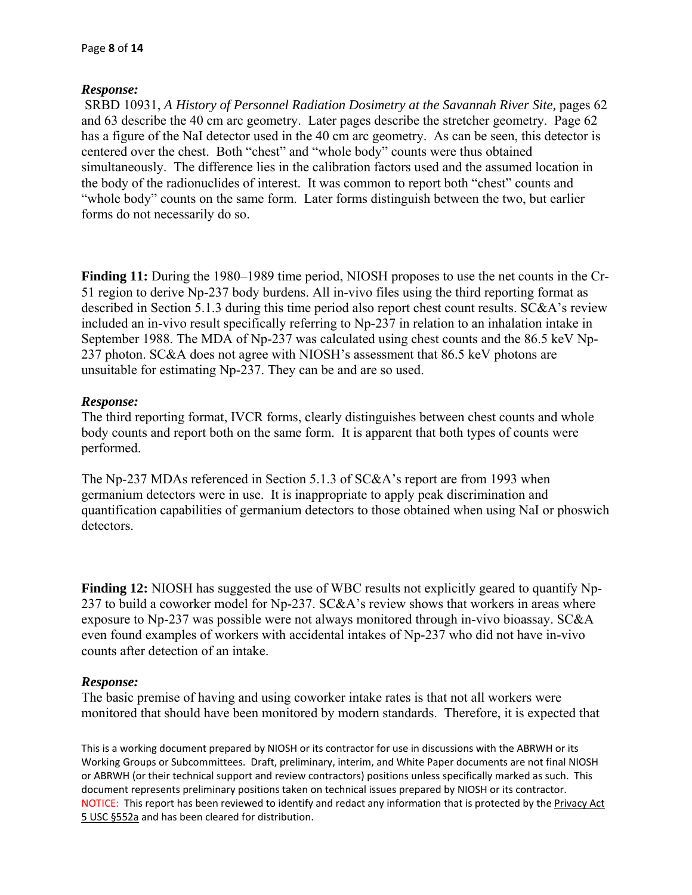SRBD 10931, *A History of Personnel Radiation Dosimetry at the Savannah River Site,* pages 62 and 63 describe the 40 cm arc geometry. Later pages describe the stretcher geometry. Page 62 has a figure of the NaI detector used in the 40 cm arc geometry. As can be seen, this detector is centered over the chest. Both "chest" and "whole body" counts were thus obtained simultaneously. The difference lies in the calibration factors used and the assumed location in the body of the radionuclides of interest. It was common to report both "chest" counts and "whole body" counts on the same form. Later forms distinguish between the two, but earlier forms do not necessarily do so.

**Finding 11:** During the 1980–1989 time period, NIOSH proposes to use the net counts in the Cr-51 region to derive Np-237 body burdens. All in-vivo files using the third reporting format as described in Section 5.1.3 during this time period also report chest count results. SC&A's review included an in-vivo result specifically referring to Np-237 in relation to an inhalation intake in September 1988. The MDA of Np-237 was calculated using chest counts and the 86.5 keV Np-237 photon. SC&A does not agree with NIOSH's assessment that 86.5 keV photons are unsuitable for estimating Np-237. They can be and are so used.

## *Response:*

The third reporting format, IVCR forms, clearly distinguishes between chest counts and whole body counts and report both on the same form. It is apparent that both types of counts were performed.

The Np-237 MDAs referenced in Section 5.1.3 of SC&A's report are from 1993 when germanium detectors were in use. It is inappropriate to apply peak discrimination and quantification capabilities of germanium detectors to those obtained when using NaI or phoswich detectors.

**Finding 12:** NIOSH has suggested the use of WBC results not explicitly geared to quantify Np-237 to build a coworker model for Np-237. SC&A's review shows that workers in areas where exposure to Np-237 was possible were not always monitored through in-vivo bioassay. SC&A even found examples of workers with accidental intakes of Np-237 who did not have in-vivo counts after detection of an intake.

### *Response:*

The basic premise of having and using coworker intake rates is that not all workers were monitored that should have been monitored by modern standards. Therefore, it is expected that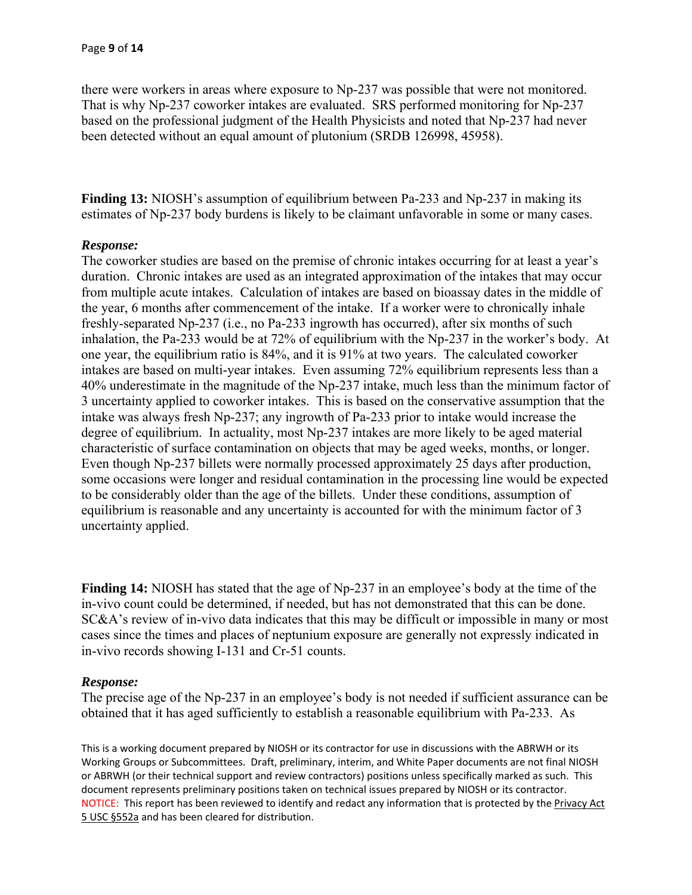there were workers in areas where exposure to Np-237 was possible that were not monitored. That is why Np-237 coworker intakes are evaluated. SRS performed monitoring for Np-237 based on the professional judgment of the Health Physicists and noted that Np-237 had never been detected without an equal amount of plutonium (SRDB 126998, 45958).

**Finding 13:** NIOSH's assumption of equilibrium between Pa-233 and Np-237 in making its estimates of Np-237 body burdens is likely to be claimant unfavorable in some or many cases.

### *Response:*

The coworker studies are based on the premise of chronic intakes occurring for at least a year's duration. Chronic intakes are used as an integrated approximation of the intakes that may occur from multiple acute intakes. Calculation of intakes are based on bioassay dates in the middle of the year, 6 months after commencement of the intake. If a worker were to chronically inhale freshly-separated Np-237 (i.e., no Pa-233 ingrowth has occurred), after six months of such inhalation, the Pa-233 would be at 72% of equilibrium with the Np-237 in the worker's body. At one year, the equilibrium ratio is 84%, and it is 91% at two years. The calculated coworker intakes are based on multi-year intakes. Even assuming 72% equilibrium represents less than a 40% underestimate in the magnitude of the Np-237 intake, much less than the minimum factor of 3 uncertainty applied to coworker intakes. This is based on the conservative assumption that the intake was always fresh Np-237; any ingrowth of Pa-233 prior to intake would increase the degree of equilibrium. In actuality, most Np-237 intakes are more likely to be aged material characteristic of surface contamination on objects that may be aged weeks, months, or longer. Even though Np-237 billets were normally processed approximately 25 days after production, some occasions were longer and residual contamination in the processing line would be expected to be considerably older than the age of the billets. Under these conditions, assumption of equilibrium is reasonable and any uncertainty is accounted for with the minimum factor of 3 uncertainty applied.

**Finding 14:** NIOSH has stated that the age of Np-237 in an employee's body at the time of the in-vivo count could be determined, if needed, but has not demonstrated that this can be done. SC&A's review of in-vivo data indicates that this may be difficult or impossible in many or most cases since the times and places of neptunium exposure are generally not expressly indicated in in-vivo records showing I-131 and Cr-51 counts.

### *Response:*

The precise age of the Np-237 in an employee's body is not needed if sufficient assurance can be obtained that it has aged sufficiently to establish a reasonable equilibrium with Pa-233. As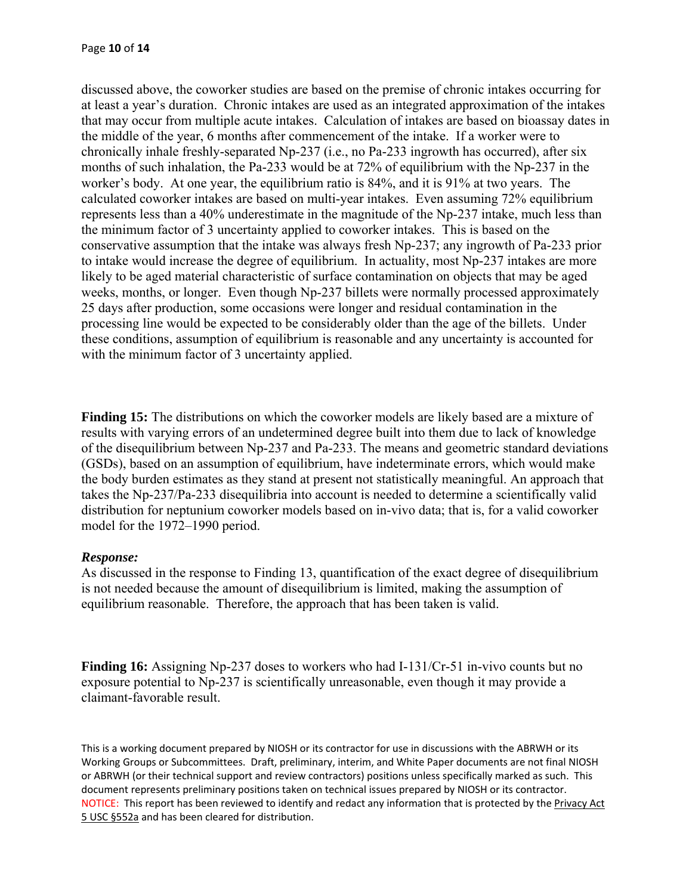discussed above, the coworker studies are based on the premise of chronic intakes occurring for at least a year's duration. Chronic intakes are used as an integrated approximation of the intakes that may occur from multiple acute intakes. Calculation of intakes are based on bioassay dates in the middle of the year, 6 months after commencement of the intake. If a worker were to chronically inhale freshly-separated Np-237 (i.e., no Pa-233 ingrowth has occurred), after six months of such inhalation, the Pa-233 would be at 72% of equilibrium with the Np-237 in the worker's body. At one year, the equilibrium ratio is 84%, and it is 91% at two years. The calculated coworker intakes are based on multi-year intakes. Even assuming 72% equilibrium represents less than a 40% underestimate in the magnitude of the Np-237 intake, much less than the minimum factor of 3 uncertainty applied to coworker intakes. This is based on the conservative assumption that the intake was always fresh Np-237; any ingrowth of Pa-233 prior to intake would increase the degree of equilibrium. In actuality, most Np-237 intakes are more likely to be aged material characteristic of surface contamination on objects that may be aged weeks, months, or longer. Even though Np-237 billets were normally processed approximately 25 days after production, some occasions were longer and residual contamination in the processing line would be expected to be considerably older than the age of the billets. Under these conditions, assumption of equilibrium is reasonable and any uncertainty is accounted for with the minimum factor of 3 uncertainty applied.

**Finding 15:** The distributions on which the coworker models are likely based are a mixture of results with varying errors of an undetermined degree built into them due to lack of knowledge of the disequilibrium between Np-237 and Pa-233. The means and geometric standard deviations (GSDs), based on an assumption of equilibrium, have indeterminate errors, which would make the body burden estimates as they stand at present not statistically meaningful. An approach that takes the Np-237/Pa-233 disequilibria into account is needed to determine a scientifically valid distribution for neptunium coworker models based on in-vivo data; that is, for a valid coworker model for the 1972–1990 period.

### *Response:*

As discussed in the response to Finding 13, quantification of the exact degree of disequilibrium is not needed because the amount of disequilibrium is limited, making the assumption of equilibrium reasonable. Therefore, the approach that has been taken is valid.

**Finding 16:** Assigning Np-237 doses to workers who had I-131/Cr-51 in-vivo counts but no exposure potential to Np-237 is scientifically unreasonable, even though it may provide a claimant-favorable result.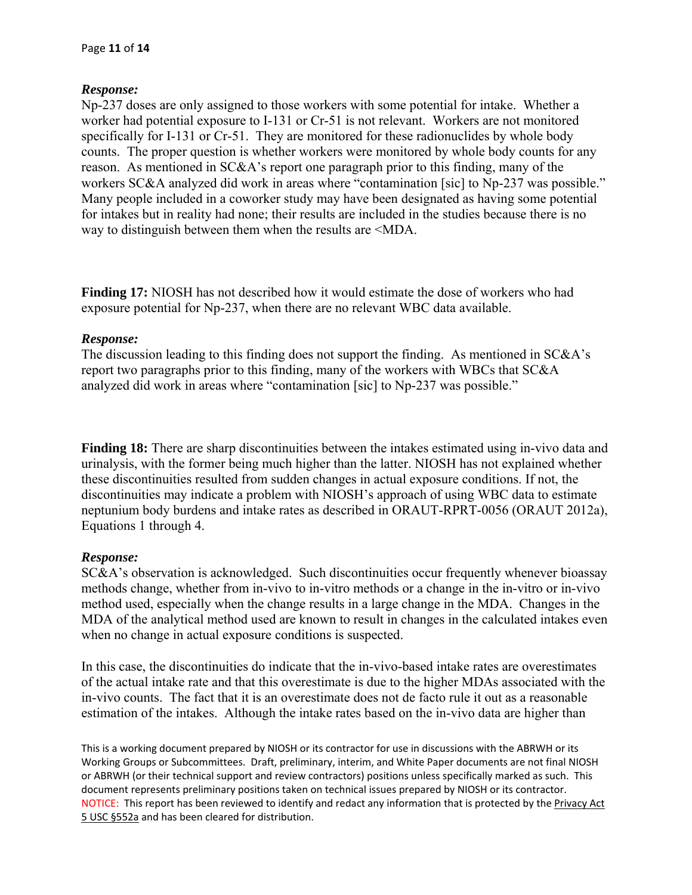Np-237 doses are only assigned to those workers with some potential for intake. Whether a way to distinguish between them when the results are <MDA. worker had potential exposure to I-131 or Cr-51 is not relevant. Workers are not monitored specifically for I-131 or Cr-51. They are monitored for these radionuclides by whole body counts. The proper question is whether workers were monitored by whole body counts for any reason. As mentioned in SC&A's report one paragraph prior to this finding, many of the workers SC&A analyzed did work in areas where "contamination [sic] to Np-237 was possible." Many people included in a coworker study may have been designated as having some potential for intakes but in reality had none; their results are included in the studies because there is no

**Finding 17:** NIOSH has not described how it would estimate the dose of workers who had exposure potential for Np-237, when there are no relevant WBC data available.

### *Response:*

The discussion leading to this finding does not support the finding. As mentioned in SC&A's report two paragraphs prior to this finding, many of the workers with WBCs that SC&A analyzed did work in areas where "contamination [sic] to Np-237 was possible."

**Finding 18:** There are sharp discontinuities between the intakes estimated using in-vivo data and urinalysis, with the former being much higher than the latter. NIOSH has not explained whether these discontinuities resulted from sudden changes in actual exposure conditions. If not, the discontinuities may indicate a problem with NIOSH's approach of using WBC data to estimate neptunium body burdens and intake rates as described in ORAUT-RPRT-0056 (ORAUT 2012a), Equations 1 through 4.

# *Response:*

SC&A's observation is acknowledged. Such discontinuities occur frequently whenever bioassay methods change, whether from in-vivo to in-vitro methods or a change in the in-vitro or in-vivo method used, especially when the change results in a large change in the MDA. Changes in the MDA of the analytical method used are known to result in changes in the calculated intakes even when no change in actual exposure conditions is suspected.

In this case, the discontinuities do indicate that the in-vivo-based intake rates are overestimates of the actual intake rate and that this overestimate is due to the higher MDAs associated with the in-vivo counts. The fact that it is an overestimate does not de facto rule it out as a reasonable estimation of the intakes. Although the intake rates based on the in-vivo data are higher than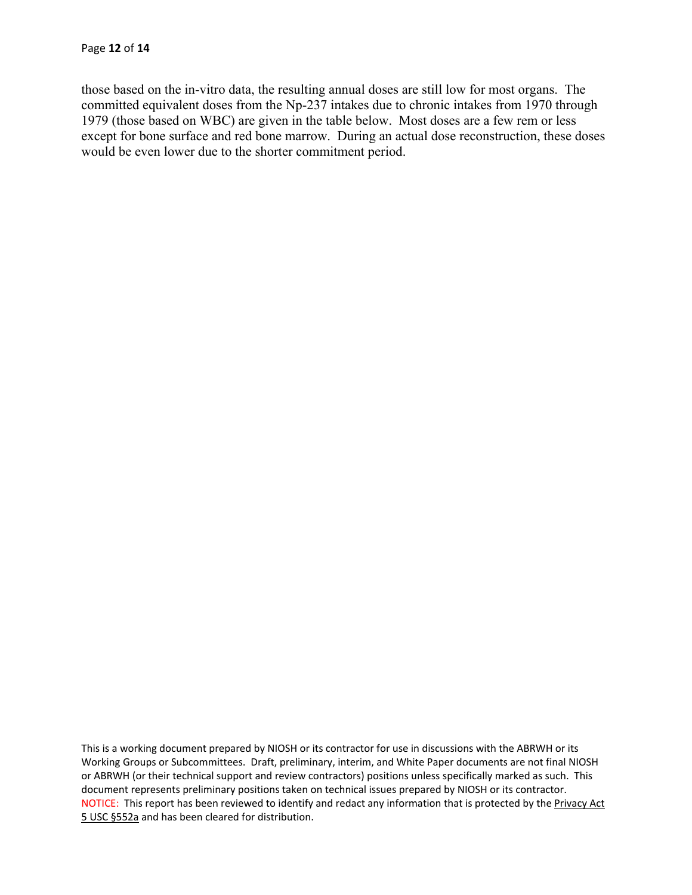those based on the in-vitro data, the resulting annual doses are still low for most organs. The committed equivalent doses from the Np-237 intakes due to chronic intakes from 1970 through 1979 (those based on WBC) are given in the table below. Most doses are a few rem or less except for bone surface and red bone marrow. During an actual dose reconstruction, these doses would be even lower due to the shorter commitment period.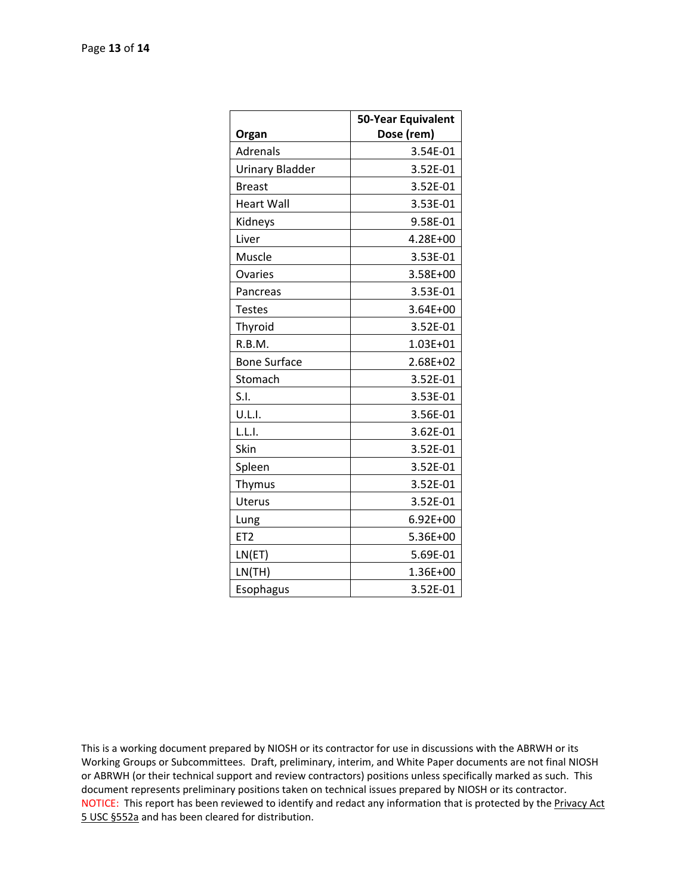|                        | 50-Year Equivalent |
|------------------------|--------------------|
| Organ                  | Dose (rem)         |
| Adrenals               | 3.54E-01           |
| <b>Urinary Bladder</b> | 3.52E-01           |
| <b>Breast</b>          | 3.52E-01           |
| <b>Heart Wall</b>      | 3.53E-01           |
| Kidneys                | 9.58E-01           |
| Liver                  | 4.28E+00           |
| Muscle                 | 3.53E-01           |
| Ovaries                | 3.58E+00           |
| Pancreas               | 3.53E-01           |
| <b>Testes</b>          | 3.64E+00           |
| Thyroid                | 3.52E-01           |
| R.B.M.                 | 1.03E+01           |
| <b>Bone Surface</b>    | 2.68E+02           |
| Stomach                | 3.52E-01           |
| S.I.                   | 3.53E-01           |
| U.L.I.                 | 3.56E-01           |
| L.L.I.                 | 3.62E-01           |
| Skin                   | 3.52E-01           |
| Spleen                 | 3.52E-01           |
| Thymus                 | 3.52E-01           |
| Uterus                 | 3.52E-01           |
| Lung                   | $6.92E + 00$       |
| ET <sub>2</sub>        | 5.36E+00           |
| LN(ET)                 | 5.69E-01           |
| LN(TH)                 | 1.36E+00           |
| Esophagus              | 3.52E-01           |